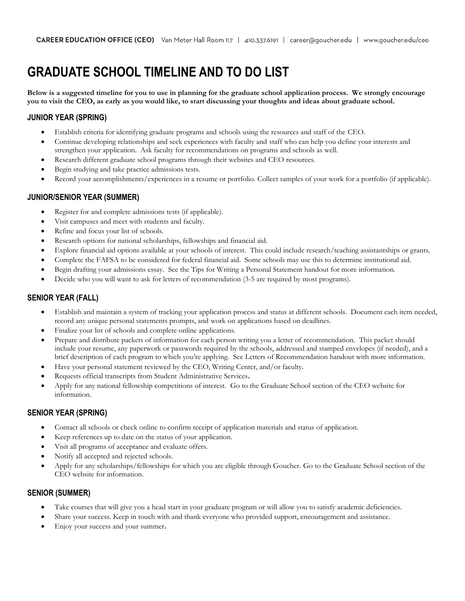# **GRADUATE SCHOOL TIMELINE AND TO DO LIST**

**Below is a suggested timeline for you to use in planning for the graduate school application process. We strongly encourage you to visit the CEO, as early as you would like, to start discussing your thoughts and ideas about graduate school.**

# **JUNIOR YEAR (SPRING)**

- Establish criteria for identifying graduate programs and schools using the resources and staff of the CEO.
- Continue developing relationships and seek experiences with faculty and staff who can help you define your interests and strengthen your application. Ask faculty for recommendations on programs and schools as well.
- Research different graduate school programs through their websites and CEO resources.
- Begin studying and take practice admissions tests.
- Record your accomplishments/experiences in a resume or portfolio. Collect samples of your work for a portfolio (if applicable).

# **JUNIOR/SENIOR YEAR (SUMMER)**

- Register for and complete admissions tests (if applicable).
- Visit campuses and meet with students and faculty.
- Refine and focus your list of schools.
- Research options for national scholarships, fellowships and financial aid.
- Explore financial aid options available at your schools of interest. This could include research/teaching assistantships or grants.
- Complete the FAFSA to be considered for federal financial aid. Some schools may use this to determine institutional aid.
- Begin drafting your admissions essay. See the Tips for Writing a Personal Statement handout for more information.
- Decide who you will want to ask for letters of recommendation (3-5 are required by most programs).

## **SENIOR YEAR (FALL)**

- Establish and maintain a system of tracking your application process and status at different schools. Document each item needed, record any unique personal statements prompts, and work on applications based on deadlines.
- Finalize your list of schools and complete online applications.
- Prepare and distribute packets of information for each person writing you a letter of recommendation. This packet should include your resume, any paperwork or passwords required by the schools, addressed and stamped envelopes (if needed), and a brief description of each program to which you're applying. See Letters of Recommendation handout with more information.
- Have your personal statement reviewed by the CEO, Writing Center, and/or faculty.
- Requests official transcripts from Student Administrative Services**.**
- Apply for any national fellowship competitions of interest. Go to the Graduate School section of the CEO website for information.

## **SENIOR YEAR (SPRING)**

- Contact all schools or check online to confirm receipt of application materials and status of application.
- Keep references up to date on the status of your application.
- Visit all programs of acceptance and evaluate offers.
- Notify all accepted and rejected schools.
- Apply for any scholarships/fellowships for which you are eligible through Goucher. Go to the Graduate School section of the CEO website for information.

## **SENIOR (SUMMER)**

- Take courses that will give you a head start in your graduate program or will allow you to satisfy academic deficiencies.
- Share your success. Keep in touch with and thank everyone who provided support, encouragement and assistance.
- Enjoy your success and your summer**.**